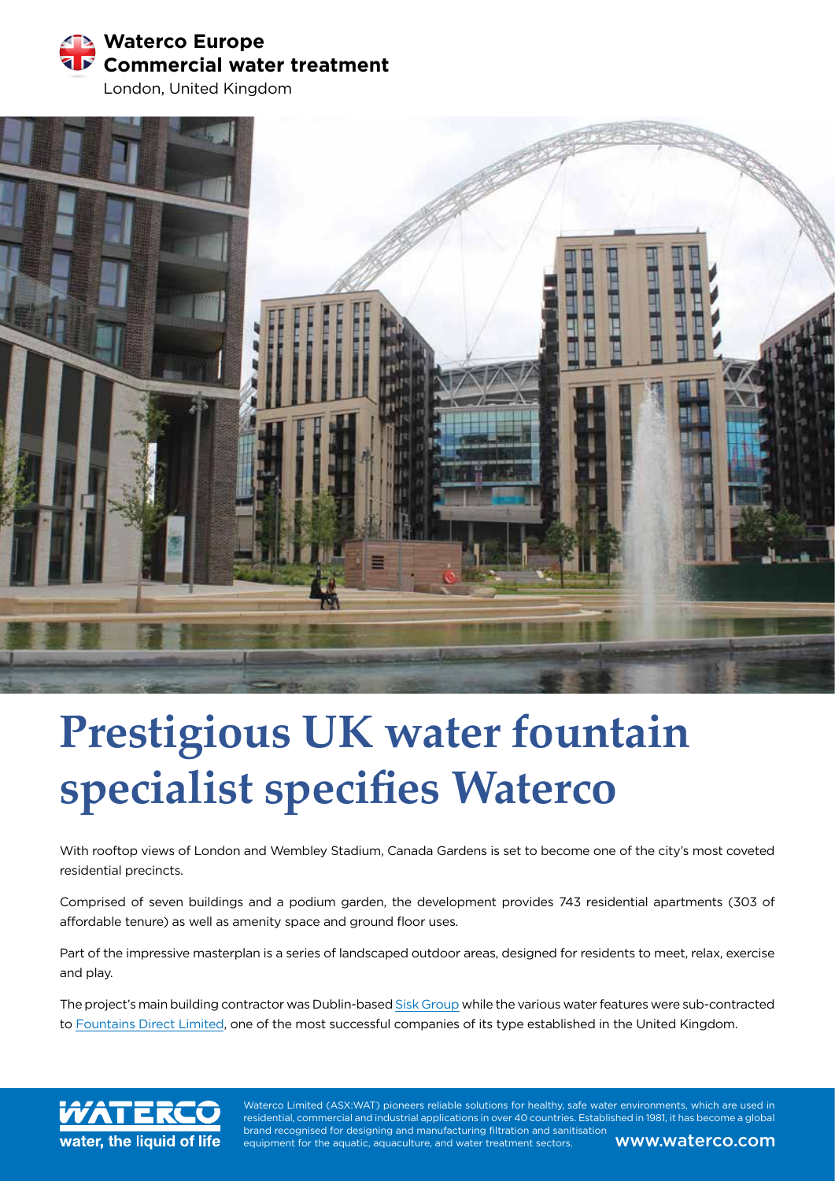

London, United Kingdom



# **Prestigious UK water fountain specialist specifies Waterco**

With rooftop views of London and Wembley Stadium, Canada Gardens is set to become one of the city's most coveted residential precincts.

Comprised of seven buildings and a podium garden, the development provides 743 residential apartments (303 of affordable tenure) as well as amenity space and ground floor uses.

Part of the impressive masterplan is a series of landscaped outdoor areas, designed for residents to meet, relax, exercise and play.

The project's main building contractor was Dublin-based Sisk Group while the various water features were sub-contracted to Fountains Direct Limited, one of the most successful companies of its type established in the United Kingdom.

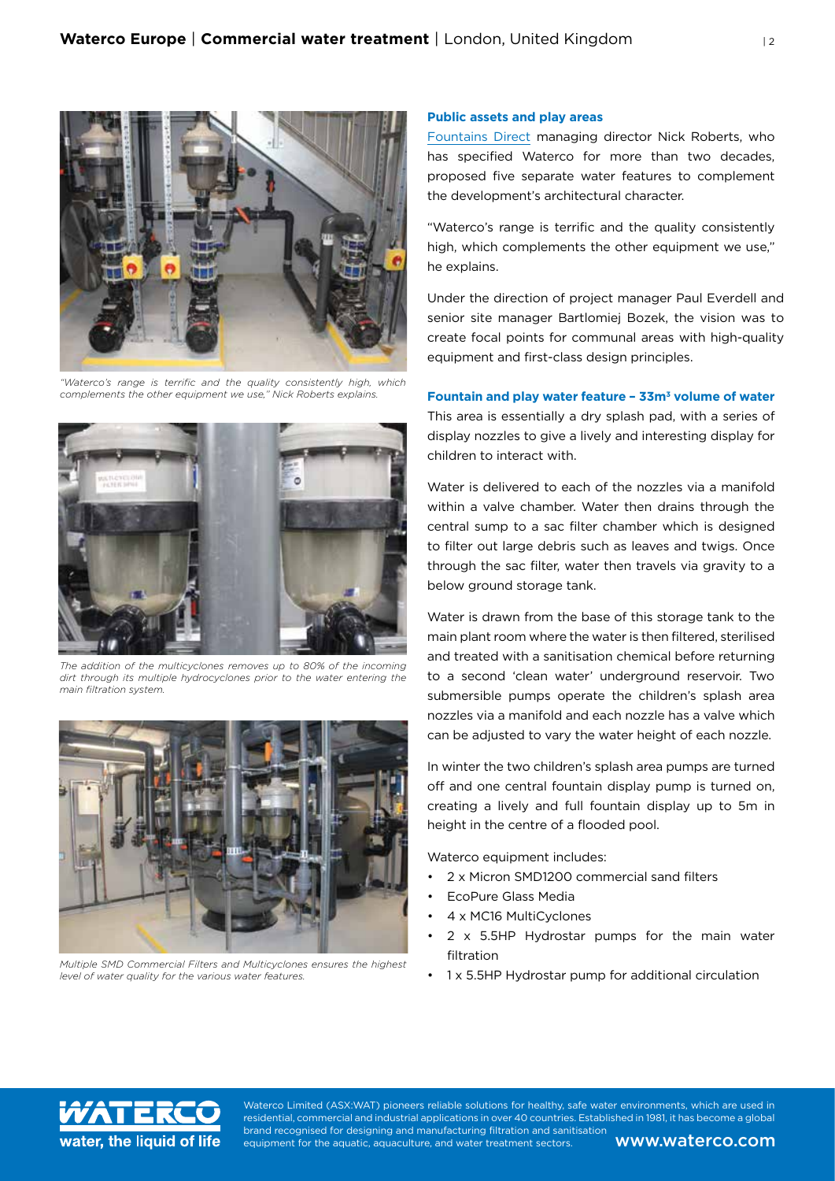

*"Waterco's range is terrific and the quality consistently high, which complements the other equipment we use," Nick Roberts explains.*



*The addition of the multicyclones removes up to 80% of the incoming dirt through its multiple hydrocyclones prior to the water entering the main filtration system.*



*Multiple SMD Commercial Filters and Multicyclones ensures the highest level of water quality for the various water features.*

## **Public assets and play areas**

Fountains Direct managing director Nick Roberts, who has specified Waterco for more than two decades, proposed five separate water features to complement the development's architectural character.

"Waterco's range is terrific and the quality consistently high, which complements the other equipment we use," he explains.

Under the direction of project manager Paul Everdell and senior site manager Bartlomiej Bozek, the vision was to create focal points for communal areas with high-quality equipment and first-class design principles.

## **Fountain and play water feature – 33m<sup>3</sup> volume of water**

This area is essentially a dry splash pad, with a series of display nozzles to give a lively and interesting display for children to interact with.

Water is delivered to each of the nozzles via a manifold within a valve chamber. Water then drains through the central sump to a sac filter chamber which is designed to filter out large debris such as leaves and twigs. Once through the sac filter, water then travels via gravity to a below ground storage tank.

Water is drawn from the base of this storage tank to the main plant room where the water is then filtered, sterilised and treated with a sanitisation chemical before returning to a second 'clean water' underground reservoir. Two submersible pumps operate the children's splash area nozzles via a manifold and each nozzle has a valve which can be adjusted to vary the water height of each nozzle.

In winter the two children's splash area pumps are turned off and one central fountain display pump is turned on, creating a lively and full fountain display up to 5m in height in the centre of a flooded pool.

Waterco equipment includes:

- 2 x Micron SMD1200 commercial sand filters
- EcoPure Glass Media
- 4 x MC16 MultiCyclones
- 2 x 5.5HP Hydrostar pumps for the main water filtration
- 1 x 5.5HP Hydrostar pump for additional circulation

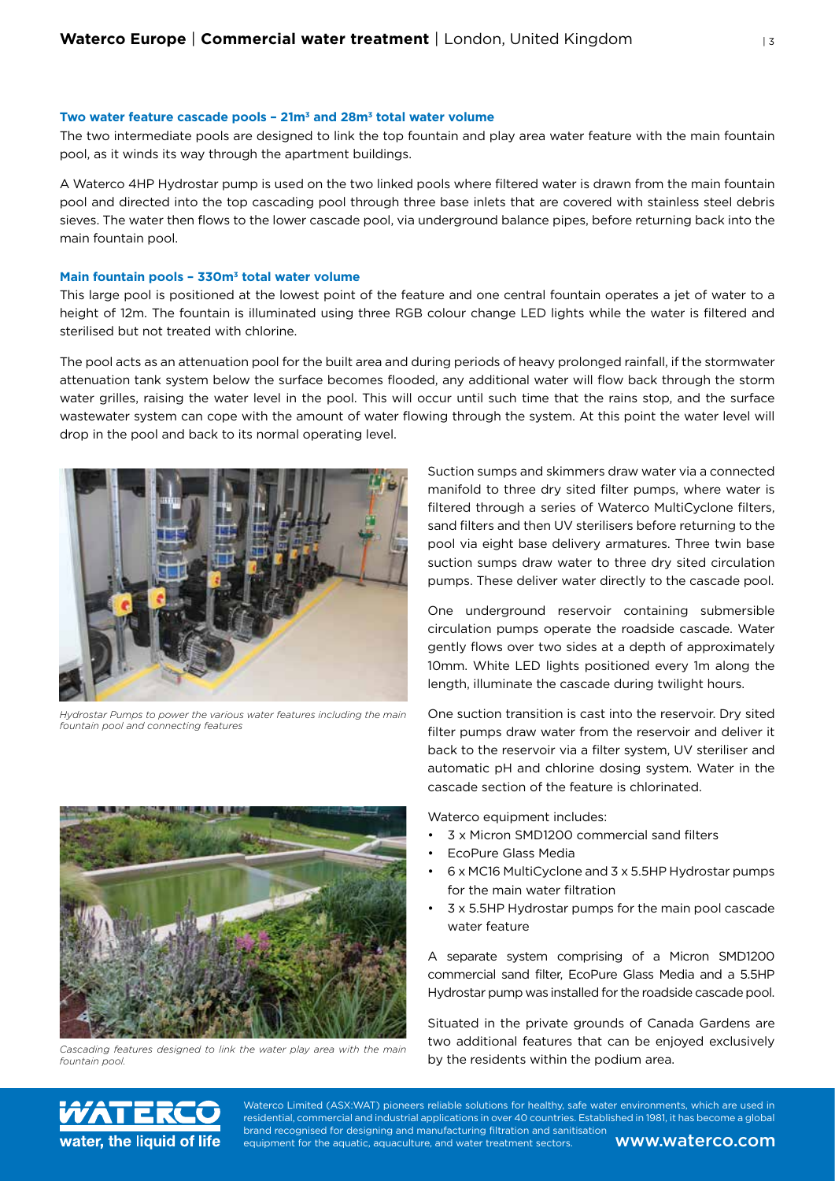## **Two water feature cascade pools – 21m3 and 28m3 total water volume**

The two intermediate pools are designed to link the top fountain and play area water feature with the main fountain pool, as it winds its way through the apartment buildings.

A Waterco 4HP Hydrostar pump is used on the two linked pools where filtered water is drawn from the main fountain pool and directed into the top cascading pool through three base inlets that are covered with stainless steel debris sieves. The water then flows to the lower cascade pool, via underground balance pipes, before returning back into the main fountain pool.

### **Main fountain pools – 330m3 total water volume**

This large pool is positioned at the lowest point of the feature and one central fountain operates a jet of water to a height of 12m. The fountain is illuminated using three RGB colour change LED lights while the water is filtered and sterilised but not treated with chlorine.

The pool acts as an attenuation pool for the built area and during periods of heavy prolonged rainfall, if the stormwater attenuation tank system below the surface becomes flooded, any additional water will flow back through the storm water grilles, raising the water level in the pool. This will occur until such time that the rains stop, and the surface wastewater system can cope with the amount of water flowing through the system. At this point the water level will drop in the pool and back to its normal operating level.



*Hydrostar Pumps to power the various water features including the main fountain pool and connecting features*



*Cascading features designed to link the water play area with the main fountain pool.*

Suction sumps and skimmers draw water via a connected manifold to three dry sited filter pumps, where water is filtered through a series of Waterco MultiCyclone filters, sand filters and then UV sterilisers before returning to the pool via eight base delivery armatures. Three twin base suction sumps draw water to three dry sited circulation pumps. These deliver water directly to the cascade pool.

One underground reservoir containing submersible circulation pumps operate the roadside cascade. Water gently flows over two sides at a depth of approximately 10mm. White LED lights positioned every 1m along the length, illuminate the cascade during twilight hours.

One suction transition is cast into the reservoir. Dry sited filter pumps draw water from the reservoir and deliver it back to the reservoir via a filter system, UV steriliser and automatic pH and chlorine dosing system. Water in the cascade section of the feature is chlorinated.

Waterco equipment includes:

- 3 x Micron SMD1200 commercial sand filters
- EcoPure Glass Media
- 6 x MC16 MultiCyclone and 3 x 5.5HP Hydrostar pumps for the main water filtration
- 3 x 5.5HP Hydrostar pumps for the main pool cascade water feature

A separate system comprising of a Micron SMD1200 commercial sand filter, EcoPure Glass Media and a 5.5HP Hydrostar pump was installed for the roadside cascade pool.

Situated in the private grounds of Canada Gardens are two additional features that can be enjoyed exclusively by the residents within the podium area.